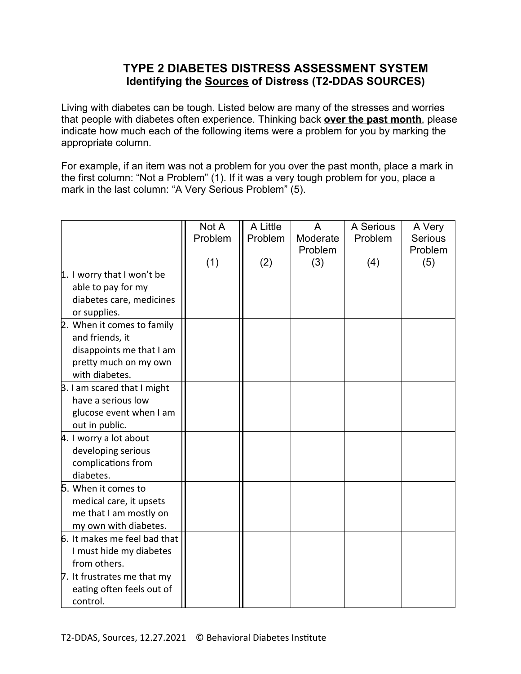## **TYPE 2 DIABETES DISTRESS ASSESSMENT SYSTEM Identifying the Sources of Distress (T2-DDAS SOURCES)**

Living with diabetes can be tough. Listed below are many of the stresses and worries that people with diabetes often experience. Thinking back **over the past month**, please indicate how much each of the following items were a problem for you by marking the appropriate column.

For example, if an item was not a problem for you over the past month, place a mark in the first column: "Not a Problem" (1). If it was a very tough problem for you, place a mark in the last column: "A Very Serious Problem" (5).

|                              | Not A   | A Little | A        | A Serious | A Very  |
|------------------------------|---------|----------|----------|-----------|---------|
|                              | Problem | Problem  | Moderate | Problem   | Serious |
|                              |         |          | Problem  |           | Problem |
|                              | (1)     | (2)      | (3)      | (4)       | (5)     |
| 1. I worry that I won't be   |         |          |          |           |         |
| able to pay for my           |         |          |          |           |         |
| diabetes care, medicines     |         |          |          |           |         |
| or supplies.                 |         |          |          |           |         |
| 2. When it comes to family   |         |          |          |           |         |
| and friends, it              |         |          |          |           |         |
| disappoints me that I am     |         |          |          |           |         |
| pretty much on my own        |         |          |          |           |         |
| with diabetes.               |         |          |          |           |         |
| B. I am scared that I might  |         |          |          |           |         |
| have a serious low           |         |          |          |           |         |
| glucose event when I am      |         |          |          |           |         |
| out in public.               |         |          |          |           |         |
| 4. I worry a lot about       |         |          |          |           |         |
| developing serious           |         |          |          |           |         |
| complications from           |         |          |          |           |         |
| diabetes.                    |         |          |          |           |         |
| 5. When it comes to          |         |          |          |           |         |
| medical care, it upsets      |         |          |          |           |         |
| me that I am mostly on       |         |          |          |           |         |
| my own with diabetes.        |         |          |          |           |         |
| 6. It makes me feel bad that |         |          |          |           |         |
| I must hide my diabetes      |         |          |          |           |         |
| from others.                 |         |          |          |           |         |
| 7. It frustrates me that my  |         |          |          |           |         |
| eating often feels out of    |         |          |          |           |         |
| control.                     |         |          |          |           |         |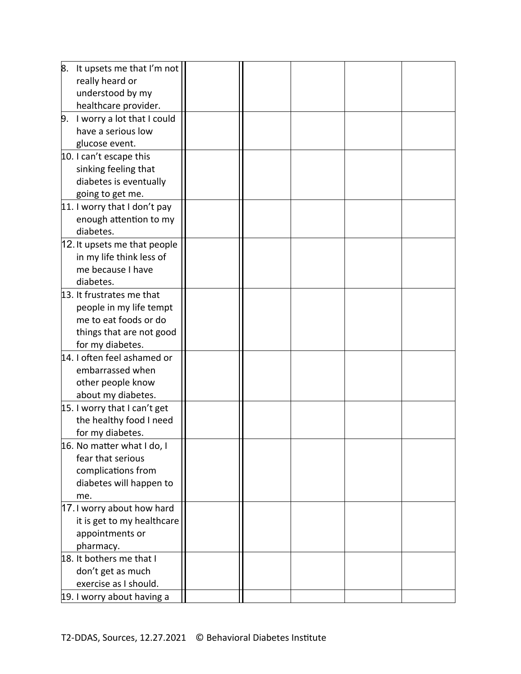| 8. | It upsets me that I'm not    |  |  |  |
|----|------------------------------|--|--|--|
|    | really heard or              |  |  |  |
|    | understood by my             |  |  |  |
|    | healthcare provider.         |  |  |  |
| 9. | I worry a lot that I could   |  |  |  |
|    | have a serious low           |  |  |  |
|    | glucose event.               |  |  |  |
|    | 10. I can't escape this      |  |  |  |
|    | sinking feeling that         |  |  |  |
|    | diabetes is eventually       |  |  |  |
|    | going to get me.             |  |  |  |
|    | 11. I worry that I don't pay |  |  |  |
|    | enough attention to my       |  |  |  |
|    | diabetes.                    |  |  |  |
|    | 12. It upsets me that people |  |  |  |
|    | in my life think less of     |  |  |  |
|    | me because I have            |  |  |  |
|    | diabetes.                    |  |  |  |
|    | 13. It frustrates me that    |  |  |  |
|    | people in my life tempt      |  |  |  |
|    | me to eat foods or do        |  |  |  |
|    | things that are not good     |  |  |  |
|    | for my diabetes.             |  |  |  |
|    | 14. I often feel ashamed or  |  |  |  |
|    | embarrassed when             |  |  |  |
|    | other people know            |  |  |  |
|    | about my diabetes.           |  |  |  |
|    | 15. I worry that I can't get |  |  |  |
|    | the healthy food I need      |  |  |  |
|    | for my diabetes.             |  |  |  |
|    | 16. No matter what I do, I   |  |  |  |
|    | fear that serious            |  |  |  |
|    | complications from           |  |  |  |
|    | diabetes will happen to      |  |  |  |
|    | me.                          |  |  |  |
|    | 17. I worry about how hard   |  |  |  |
|    | it is get to my healthcare   |  |  |  |
|    | appointments or              |  |  |  |
|    | pharmacy.                    |  |  |  |
|    | 18. It bothers me that I     |  |  |  |
|    | don't get as much            |  |  |  |
|    | exercise as I should.        |  |  |  |
|    | 19. I worry about having a   |  |  |  |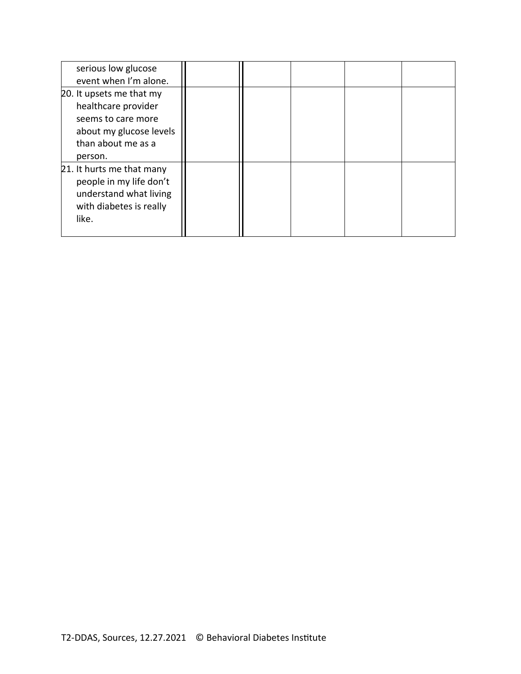| serious low glucose                                  |  |  |  |
|------------------------------------------------------|--|--|--|
| event when I'm alone.                                |  |  |  |
| 20. It upsets me that my                             |  |  |  |
| healthcare provider                                  |  |  |  |
| seems to care more                                   |  |  |  |
| about my glucose levels                              |  |  |  |
| than about me as a                                   |  |  |  |
| person.                                              |  |  |  |
| 21. It hurts me that many<br>people in my life don't |  |  |  |
| understand what living                               |  |  |  |
| with diabetes is really                              |  |  |  |
| like.                                                |  |  |  |
|                                                      |  |  |  |